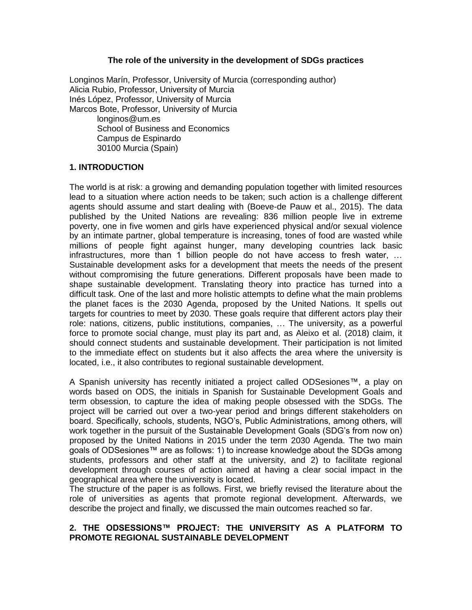#### **The role of the university in the development of SDGs practices**

Longinos Marín, Professor, University of Murcia (corresponding author) Alicia Rubio, Professor, University of Murcia Inés López, Professor, University of Murcia Marcos Bote, Professor, University of Murcia [longinos@um.es](mailto:longinos@um.es) School of Business and Economics Campus de Espinardo 30100 Murcia (Spain)

#### **1. INTRODUCTION**

The world is at risk: a growing and demanding population together with limited resources lead to a situation where action needs to be taken; such action is a challenge different agents should assume and start dealing with (Boeve-de Pauw et al., 2015). The data published by the United Nations are revealing: 836 million people live in extreme poverty, one in five women and girls have experienced physical and/or sexual violence by an intimate partner, global temperature is increasing, tones of food are wasted while millions of people fight against hunger, many developing countries lack basic infrastructures, more than 1 billion people do not have access to fresh water, … Sustainable development asks for a development that meets the needs of the present without compromising the future generations. Different proposals have been made to shape sustainable development. Translating theory into practice has turned into a difficult task. One of the last and more holistic attempts to define what the main problems the planet faces is the 2030 Agenda, proposed by the United Nations. It spells out targets for countries to meet by 2030. These goals require that different actors play their role: nations, citizens, public institutions, companies, … The university, as a powerful force to promote social change, must play its part and, as Aleixo et al. (2018) claim, it should connect students and sustainable development. Their participation is not limited to the immediate effect on students but it also affects the area where the university is located, i.e., it also contributes to regional sustainable development.

A Spanish university has recently initiated a project called ODSesiones™, a play on words based on ODS, the initials in Spanish for Sustainable Development Goals and term obsession, to capture the idea of making people obsessed with the SDGs. The project will be carried out over a two-year period and brings different stakeholders on board. Specifically, schools, students, NGO's, Public Administrations, among others, will work together in the pursuit of the Sustainable Development Goals (SDG's from now on) proposed by the United Nations in 2015 under the term 2030 Agenda. The two main goals of ODSesiones™ are as follows: 1) to increase knowledge about the SDGs among students, professors and other staff at the university, and 2) to facilitate regional development through courses of action aimed at having a clear social impact in the geographical area where the university is located.

The structure of the paper is as follows. First, we briefly revised the literature about the role of universities as agents that promote regional development. Afterwards, we describe the project and finally, we discussed the main outcomes reached so far.

### **2. THE ODSESSIONS™ PROJECT: THE UNIVERSITY AS A PLATFORM TO PROMOTE REGIONAL SUSTAINABLE DEVELOPMENT**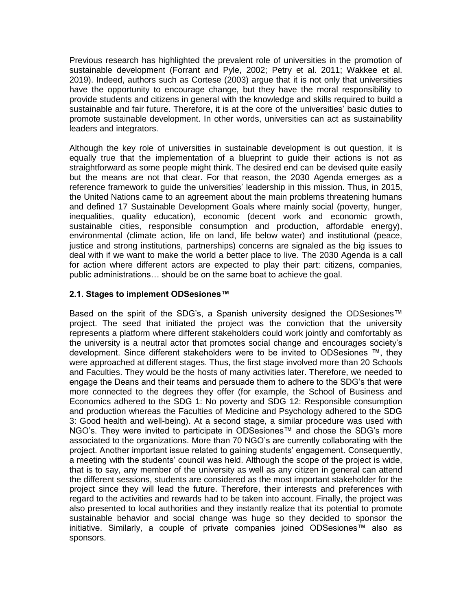Previous research has highlighted the prevalent role of universities in the promotion of sustainable development (Forrant and Pyle, 2002; Petry et al. 2011; Wakkee et al. 2019). Indeed, authors such as Cortese (2003) argue that it is not only that universities have the opportunity to encourage change, but they have the moral responsibility to provide students and citizens in general with the knowledge and skills required to build a sustainable and fair future. Therefore, it is at the core of the universities' basic duties to promote sustainable development. In other words, universities can act as sustainability leaders and integrators.

Although the key role of universities in sustainable development is out question, it is equally true that the implementation of a blueprint to guide their actions is not as straightforward as some people might think. The desired end can be devised quite easily but the means are not that clear. For that reason, the 2030 Agenda emerges as a reference framework to guide the universities' leadership in this mission. Thus, in 2015, the United Nations came to an agreement about the main problems threatening humans and defined 17 Sustainable Development Goals where mainly social (poverty, hunger, inequalities, quality education), economic (decent work and economic growth, sustainable cities, responsible consumption and production, affordable energy), environmental (climate action, life on land, life below water) and institutional (peace, justice and strong institutions, partnerships) concerns are signaled as the big issues to deal with if we want to make the world a better place to live. The 2030 Agenda is a call for action where different actors are expected to play their part: citizens, companies, public administrations… should be on the same boat to achieve the goal.

## **2.1. Stages to implement ODSesiones™**

Based on the spirit of the SDG's, a Spanish university designed the ODSesiones<sup>™</sup> project. The seed that initiated the project was the conviction that the university represents a platform where different stakeholders could work jointly and comfortably as the university is a neutral actor that promotes social change and encourages society's development. Since different stakeholders were to be invited to ODSesiones ™, they were approached at different stages. Thus, the first stage involved more than 20 Schools and Faculties. They would be the hosts of many activities later. Therefore, we needed to engage the Deans and their teams and persuade them to adhere to the SDG's that were more connected to the degrees they offer (for example, the School of Business and Economics adhered to the SDG 1: No poverty and SDG 12: Responsible consumption and production whereas the Faculties of Medicine and Psychology adhered to the SDG 3: Good health and well-being). At a second stage, a similar procedure was used with NGO's. They were invited to participate in ODSesiones™ and chose the SDG's more associated to the organizations. More than 70 NGO's are currently collaborating with the project. Another important issue related to gaining students' engagement. Consequently, a meeting with the students' council was held. Although the scope of the project is wide, that is to say, any member of the university as well as any citizen in general can attend the different sessions, students are considered as the most important stakeholder for the project since they will lead the future. Therefore, their interests and preferences with regard to the activities and rewards had to be taken into account. Finally, the project was also presented to local authorities and they instantly realize that its potential to promote sustainable behavior and social change was huge so they decided to sponsor the initiative. Similarly, a couple of private companies joined ODSesiones™ also as sponsors.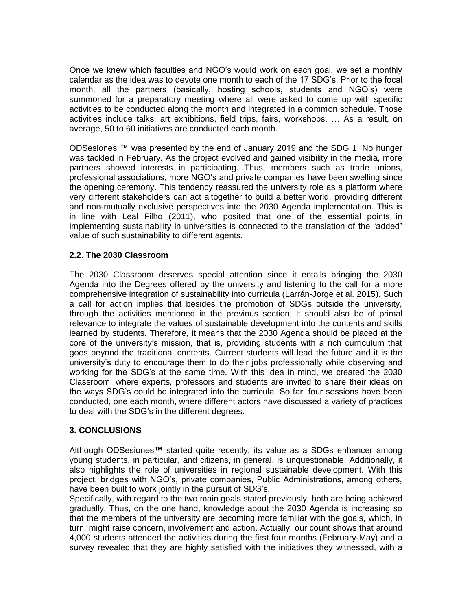Once we knew which faculties and NGO's would work on each goal, we set a monthly calendar as the idea was to devote one month to each of the 17 SDG's. Prior to the focal month, all the partners (basically, hosting schools, students and NGO's) were summoned for a preparatory meeting where all were asked to come up with specific activities to be conducted along the month and integrated in a common schedule. Those activities include talks, art exhibitions, field trips, fairs, workshops, … As a result, on average, 50 to 60 initiatives are conducted each month.

ODSesiones ™ was presented by the end of January 2019 and the SDG 1: No hunger was tackled in February. As the project evolved and gained visibility in the media, more partners showed interests in participating. Thus, members such as trade unions, professional associations, more NGO's and private companies have been swelling since the opening ceremony. This tendency reassured the university role as a platform where very different stakeholders can act altogether to build a better world, providing different and non-mutually exclusive perspectives into the 2030 Agenda implementation. This is in line with Leal Filho (2011), who posited that one of the essential points in implementing sustainability in universities is connected to the translation of the "added" value of such sustainability to different agents.

## **2.2. The 2030 Classroom**

The 2030 Classroom deserves special attention since it entails bringing the 2030 Agenda into the Degrees offered by the university and listening to the call for a more comprehensive integration of sustainability into curricula (Larrán-Jorge et al. 2015). Such a call for action implies that besides the promotion of SDGs outside the university, through the activities mentioned in the previous section, it should also be of primal relevance to integrate the values of sustainable development into the contents and skills learned by students. Therefore, it means that the 2030 Agenda should be placed at the core of the university's mission, that is, providing students with a rich curriculum that goes beyond the traditional contents. Current students will lead the future and it is the university's duty to encourage them to do their jobs professionally while observing and working for the SDG's at the same time. With this idea in mind, we created the 2030 Classroom, where experts, professors and students are invited to share their ideas on the ways SDG's could be integrated into the curricula. So far, four sessions have been conducted, one each month, where different actors have discussed a variety of practices to deal with the SDG's in the different degrees.

# **3. CONCLUSIONS**

Although ODSesiones™ started quite recently, its value as a SDGs enhancer among young students, in particular, and citizens, in general, is unquestionable. Additionally, it also highlights the role of universities in regional sustainable development. With this project, bridges with NGO's, private companies, Public Administrations, among others, have been built to work jointly in the pursuit of SDG's.

Specifically, with regard to the two main goals stated previously, both are being achieved gradually. Thus, on the one hand, knowledge about the 2030 Agenda is increasing so that the members of the university are becoming more familiar with the goals, which, in turn, might raise concern, involvement and action. Actually, our count shows that around 4,000 students attended the activities during the first four months (February-May) and a survey revealed that they are highly satisfied with the initiatives they witnessed, with a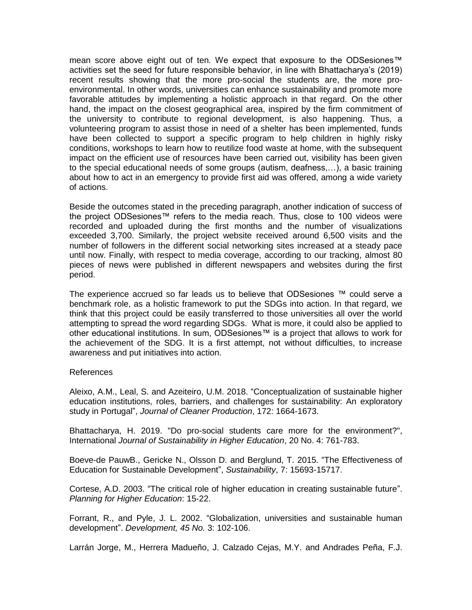mean score above eight out of ten. We expect that exposure to the ODSesiones™ activities set the seed for future responsible behavior, in line with Bhattacharya's (2019) recent results showing that the more pro-social the students are, the more proenvironmental. In other words, universities can enhance sustainability and promote more favorable attitudes by implementing a holistic approach in that regard. On the other hand, the impact on the closest geographical area, inspired by the firm commitment of the university to contribute to regional development, is also happening. Thus, a volunteering program to assist those in need of a shelter has been implemented, funds have been collected to support a specific program to help children in highly risky conditions, workshops to learn how to reutilize food waste at home, with the subsequent impact on the efficient use of resources have been carried out, visibility has been given to the special educational needs of some groups (autism, deafness,…), a basic training about how to act in an emergency to provide first aid was offered, among a wide variety of actions.

Beside the outcomes stated in the preceding paragraph, another indication of success of the project ODSesiones™ refers to the media reach. Thus, close to 100 videos were recorded and uploaded during the first months and the number of visualizations exceeded 3,700. Similarly, the project website received around 6,500 visits and the number of followers in the different social networking sites increased at a steady pace until now. Finally, with respect to media coverage, according to our tracking, almost 80 pieces of news were published in different newspapers and websites during the first period.

The experience accrued so far leads us to believe that ODSesiones ™ could serve a benchmark role, as a holistic framework to put the SDGs into action. In that regard, we think that this project could be easily transferred to those universities all over the world attempting to spread the word regarding SDGs. What is more, it could also be applied to other educational institutions. In sum, ODSesiones™ is a project that allows to work for the achievement of the SDG. It is a first attempt, not without difficulties, to increase awareness and put initiatives into action.

#### References

Aleixo, A.M., Leal, S. and Azeiteiro, U.M. 2018. "Conceptualization of sustainable higher education institutions, roles, barriers, and challenges for sustainability: An exploratory study in Portugal", *Journal of Cleaner Production*, 172: 1664-1673.

Bhattacharya, H. 2019. "Do pro-social students care more for the environment?", International *Journal of Sustainability in Higher Education*, 20 No. 4: 761-783.

Boeve-de PauwB., Gericke N., Olsson D. and Berglund, T. 2015. "The Effectiveness of Education for Sustainable Development", *Sustainability*, 7: 15693-15717.

Cortese, A.D. 2003. "The critical role of higher education in creating sustainable future". *Planning for Higher Education*: 15-22.

Forrant, R., and Pyle, J. L. 2002. "Globalization, universities and sustainable human development". *Development, 45 No.* 3: 102-106.

Larrán Jorge, M., Herrera Madueño, J. Calzado Cejas, M.Y. and Andrades Peña, F.J.